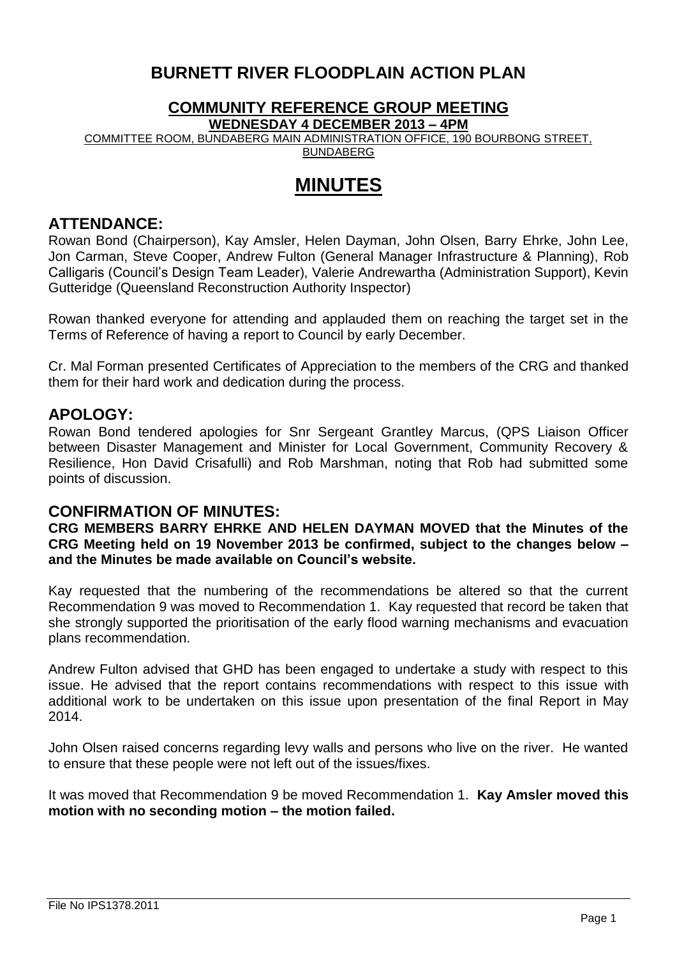# **BURNETT RIVER FLOODPLAIN ACTION PLAN**

# **COMMUNITY REFERENCE GROUP MEETING**

**WEDNESDAY 4 DECEMBER 2013 – 4PM**

COMMITTEE ROOM, BUNDABERG MAIN ADMINISTRATION OFFICE, 190 BOURBONG STREET, **BUNDABERG** 

# **MINUTES**

## **ATTENDANCE:**

Rowan Bond (Chairperson), Kay Amsler, Helen Dayman, John Olsen, Barry Ehrke, John Lee, Jon Carman, Steve Cooper, Andrew Fulton (General Manager Infrastructure & Planning), Rob Calligaris (Council's Design Team Leader), Valerie Andrewartha (Administration Support), Kevin Gutteridge (Queensland Reconstruction Authority Inspector)

Rowan thanked everyone for attending and applauded them on reaching the target set in the Terms of Reference of having a report to Council by early December.

Cr. Mal Forman presented Certificates of Appreciation to the members of the CRG and thanked them for their hard work and dedication during the process.

## **APOLOGY:**

Rowan Bond tendered apologies for Snr Sergeant Grantley Marcus, (QPS Liaison Officer between Disaster Management and Minister for Local Government, Community Recovery & Resilience, Hon David Crisafulli) and Rob Marshman, noting that Rob had submitted some points of discussion.

## **CONFIRMATION OF MINUTES:**

**CRG MEMBERS BARRY EHRKE AND HELEN DAYMAN MOVED that the Minutes of the CRG Meeting held on 19 November 2013 be confirmed, subject to the changes below – and the Minutes be made available on Council's website.**

Kay requested that the numbering of the recommendations be altered so that the current Recommendation 9 was moved to Recommendation 1. Kay requested that record be taken that she strongly supported the prioritisation of the early flood warning mechanisms and evacuation plans recommendation.

Andrew Fulton advised that GHD has been engaged to undertake a study with respect to this issue. He advised that the report contains recommendations with respect to this issue with additional work to be undertaken on this issue upon presentation of the final Report in May 2014.

John Olsen raised concerns regarding levy walls and persons who live on the river. He wanted to ensure that these people were not left out of the issues/fixes.

It was moved that Recommendation 9 be moved Recommendation 1. **Kay Amsler moved this motion with no seconding motion – the motion failed.**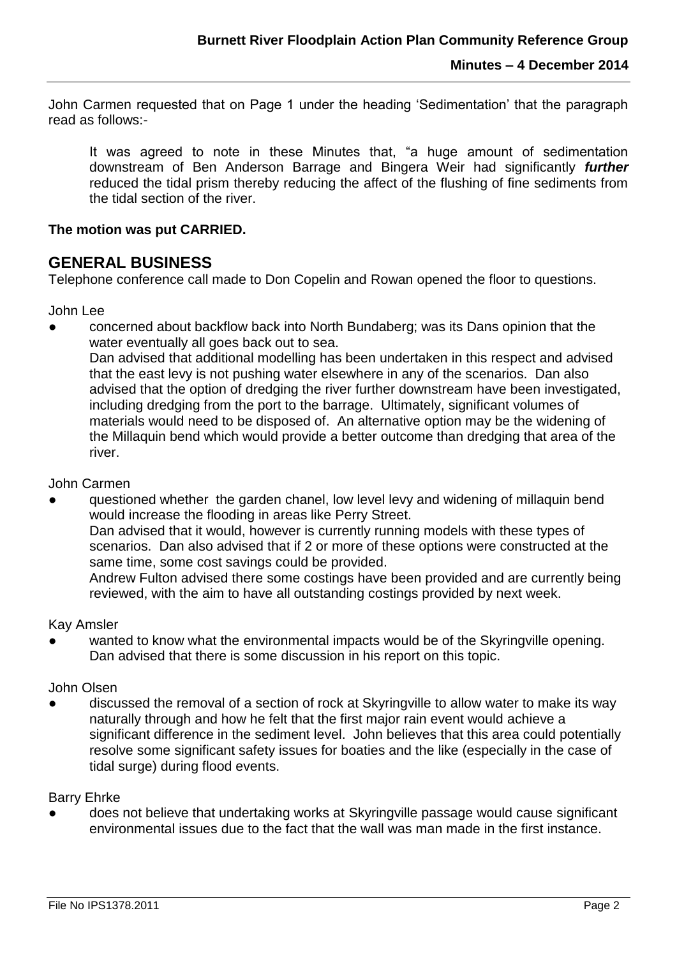John Carmen requested that on Page 1 under the heading 'Sedimentation' that the paragraph read as follows:-

It was agreed to note in these Minutes that, "a huge amount of sedimentation downstream of Ben Anderson Barrage and Bingera Weir had significantly *further* reduced the tidal prism thereby reducing the affect of the flushing of fine sediments from the tidal section of the river.

#### **The motion was put CARRIED.**

### **GENERAL BUSINESS**

Telephone conference call made to Don Copelin and Rowan opened the floor to questions.

John Lee

concerned about backflow back into North Bundaberg; was its Dans opinion that the water eventually all goes back out to sea.

Dan advised that additional modelling has been undertaken in this respect and advised that the east levy is not pushing water elsewhere in any of the scenarios. Dan also advised that the option of dredging the river further downstream have been investigated, including dredging from the port to the barrage. Ultimately, significant volumes of materials would need to be disposed of. An alternative option may be the widening of the Millaquin bend which would provide a better outcome than dredging that area of the river.

#### John Carmen

questioned whether the garden chanel, low level levy and widening of millaquin bend would increase the flooding in areas like Perry Street. Dan advised that it would, however is currently running models with these types of scenarios. Dan also advised that if 2 or more of these options were constructed at the same time, some cost savings could be provided.

Andrew Fulton advised there some costings have been provided and are currently being reviewed, with the aim to have all outstanding costings provided by next week.

#### Kay Amsler

wanted to know what the environmental impacts would be of the Skyringville opening. Dan advised that there is some discussion in his report on this topic.

#### John Olsen

discussed the removal of a section of rock at Skyringville to allow water to make its way naturally through and how he felt that the first major rain event would achieve a significant difference in the sediment level. John believes that this area could potentially resolve some significant safety issues for boaties and the like (especially in the case of tidal surge) during flood events.

#### Barry Ehrke

does not believe that undertaking works at Skyringville passage would cause significant environmental issues due to the fact that the wall was man made in the first instance.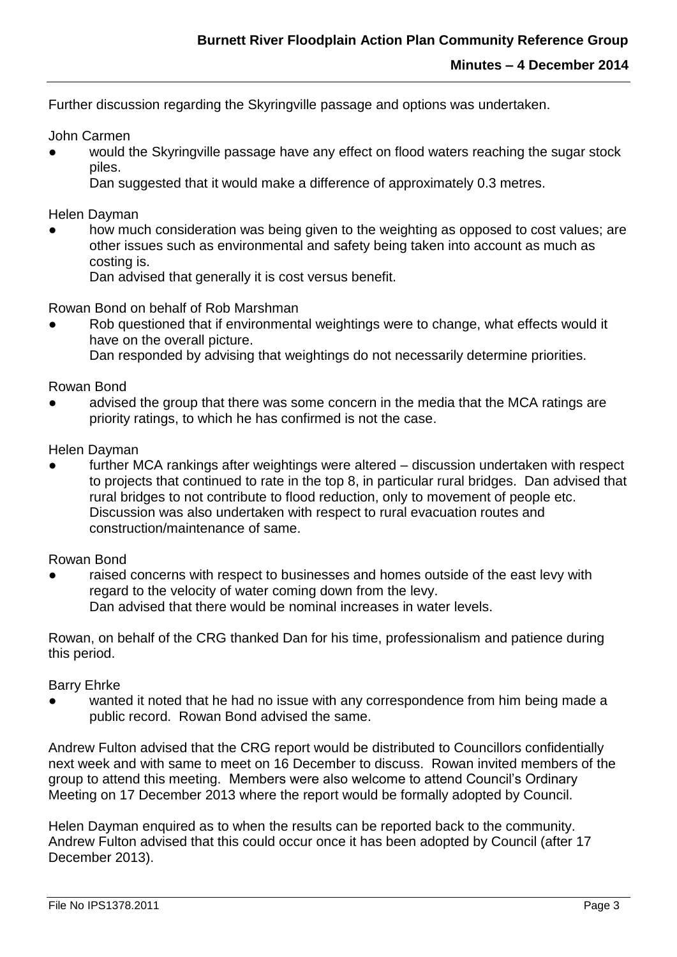Further discussion regarding the Skyringville passage and options was undertaken.

John Carmen

would the Skyringville passage have any effect on flood waters reaching the sugar stock piles.

Dan suggested that it would make a difference of approximately 0.3 metres.

Helen Dayman

how much consideration was being given to the weighting as opposed to cost values; are other issues such as environmental and safety being taken into account as much as costing is.

Dan advised that generally it is cost versus benefit.

Rowan Bond on behalf of Rob Marshman

Rob questioned that if environmental weightings were to change, what effects would it have on the overall picture.

Dan responded by advising that weightings do not necessarily determine priorities.

Rowan Bond

advised the group that there was some concern in the media that the MCA ratings are priority ratings, to which he has confirmed is not the case.

Helen Dayman

further MCA rankings after weightings were altered – discussion undertaken with respect to projects that continued to rate in the top 8, in particular rural bridges. Dan advised that rural bridges to not contribute to flood reduction, only to movement of people etc. Discussion was also undertaken with respect to rural evacuation routes and construction/maintenance of same.

Rowan Bond

raised concerns with respect to businesses and homes outside of the east levy with regard to the velocity of water coming down from the levy. Dan advised that there would be nominal increases in water levels.

Rowan, on behalf of the CRG thanked Dan for his time, professionalism and patience during this period.

Barry Ehrke

wanted it noted that he had no issue with any correspondence from him being made a public record. Rowan Bond advised the same.

Andrew Fulton advised that the CRG report would be distributed to Councillors confidentially next week and with same to meet on 16 December to discuss. Rowan invited members of the group to attend this meeting. Members were also welcome to attend Council's Ordinary Meeting on 17 December 2013 where the report would be formally adopted by Council.

Helen Dayman enquired as to when the results can be reported back to the community. Andrew Fulton advised that this could occur once it has been adopted by Council (after 17 December 2013).